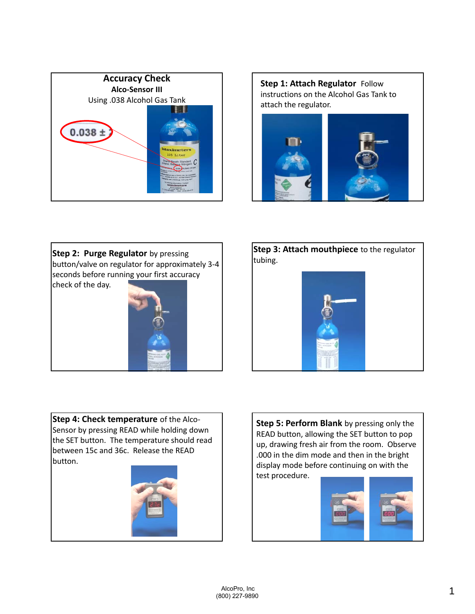









**Step 4: Check temperature** of the Alco‐ Sensor by pressing READ while holding down the SET button. The temperature should read between 15c and 36c. Release the READ button.



**Step 5: Perform Blank** by pressing only the READ button, allowing the SET button to pop up, drawing fresh air from the room. Observe .000 in the dim mode and then in the bright display mode before continuing on with the test procedure.

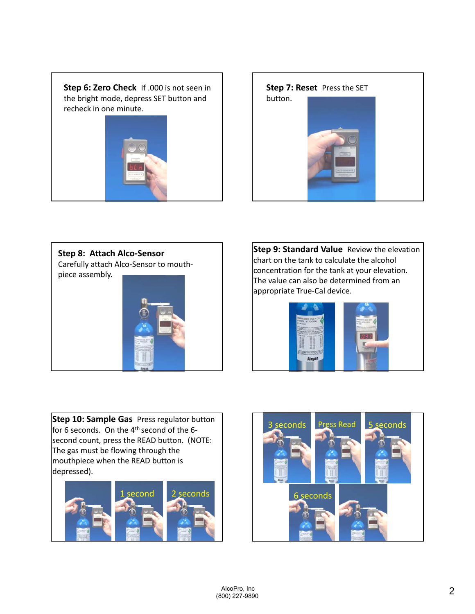







**Step 9: Standard Value** Review the elevation chart on the tank to calculate the alcohol concentration for the tank at your elevation. The value can also be determined from an appropriate True‐Cal device.



**Step 10: Sample Gas** Press regulator button for 6 seconds. On the  $4<sup>th</sup>$  second of the 6second count, press the READ button. (NOTE: The gas must be flowing through the mouthpiece when the READ button is depressed).



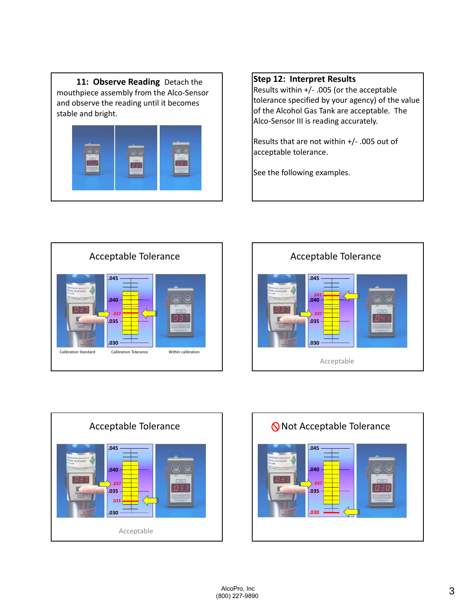11: Observe Reading Detach the mouthpiece assembly from the Alco‐Sensor and observe the reading until it becomes stable and bright.



## **Step 12: Interpret Results**

Results within +/‐ .005 (or the acceptable tolerance specified by your agency) of the value of the Alcohol Gas Tank are acceptable. The Alco‐Sensor III is reading accurately.

Results that are not within +/‐ .005 out of acceptable tolerance.

See the following examples.